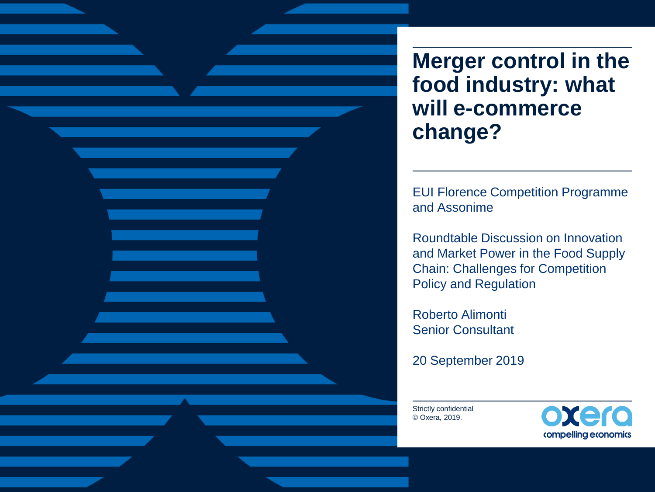**Merger control in the food industry: what will e-commerce change?**

EUI Florence Competition Programme and Assonime

Roundtable Discussion on Innovation and Market Power in the Food Supply Chain: Challenges for Competition Policy and Regulation

Roberto Alimonti Senior Consultant

20 September 2019

Strictly confidential © Oxera, 2019.

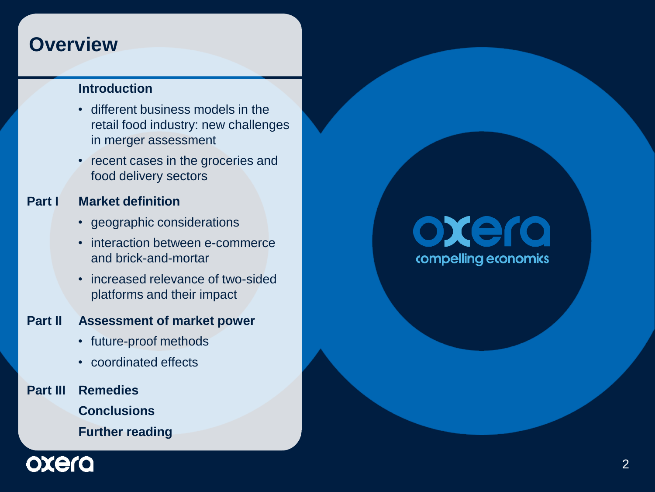#### **Overview**

#### **Introduction**

- different business models in the retail food industry: new challenges in merger assessment
- recent cases in the groceries and food delivery sectors

#### **Part I Market definition**

- geographic considerations
- interaction between e-commerce and brick -and -mortar
- increased relevance of two-sided platforms and their impact

#### **Part II Assessment of market power**

- future-proof methods
- coordinated effects

#### **Part III Remedies**

**Conclusions**

**Further reading**



# oxera compelling economics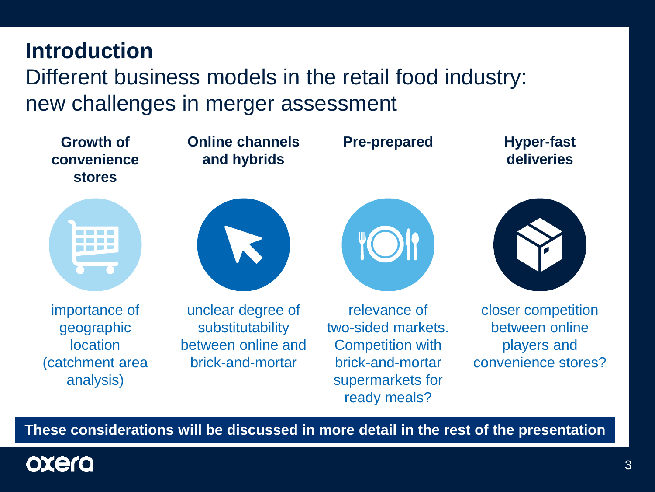#### **Introduction**

# Different business models in the retail food industry: new challenges in merger assessment



**These considerations will be discussed in more detail in the rest of the presentation**

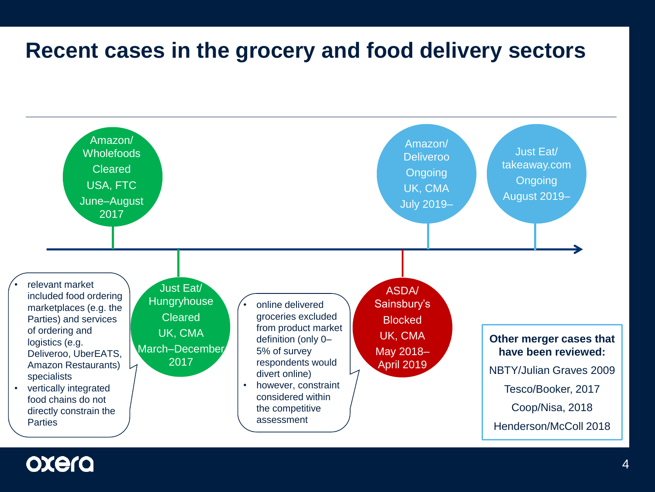#### **Recent cases in the grocery and food delivery sectors**



#### oxero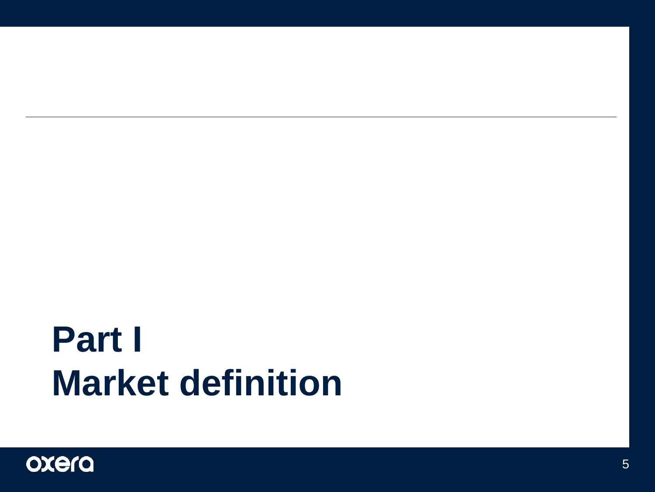# **Part I Market definition**

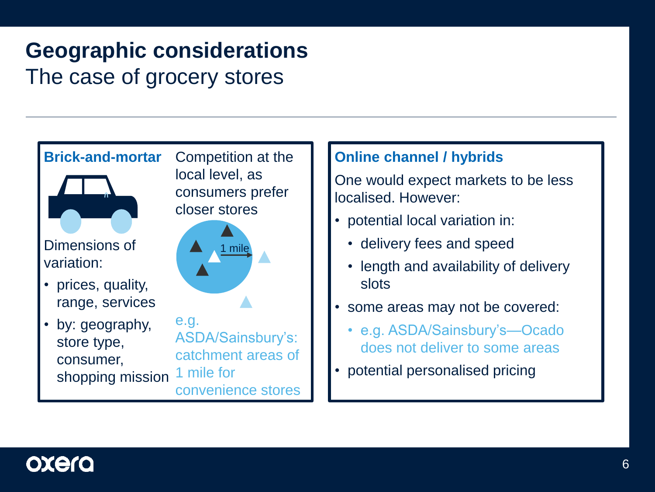# **Geographic considerations**

#### The case of grocery stores



Dimensions of variation:

• prices, quality, range, services

• by: geography, store type, consumer, shopping mission

Competition at the local level, as consumers prefer closer stores



e.g. ASDA/Sainsbury's: catchment areas of 1 mile for convenience stores

#### **Online channel / hybrids**

One would expect markets to be less localised. However:

- potential local variation in:
	- delivery fees and speed
	- length and availability of delivery slots
- some areas may not be covered:
	- e.g. ASDA/Sainsbury's—Ocado does not deliver to some areas
- potential personalised pricing

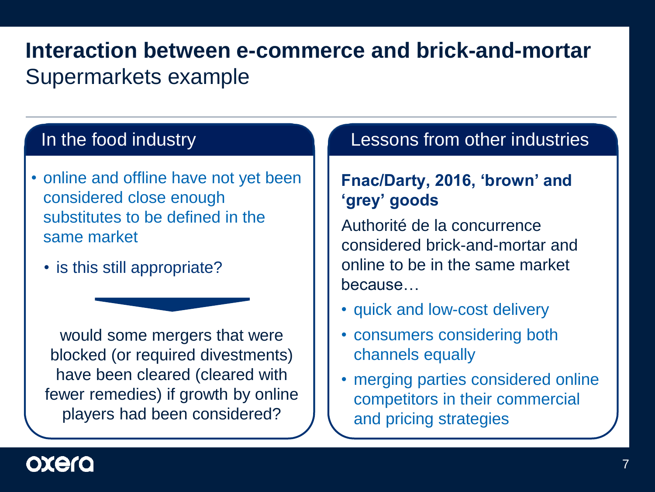# **Interaction between e-commerce and brick-and-mortar**  Supermarkets example

- online and offline have not yet been considered close enough substitutes to be defined in the same market
	- is this still appropriate?

would some mergers that were blocked (or required divestments) have been cleared (cleared with fewer remedies) if growth by online players had been considered?

#### In the food industry **Lessons from other industries**

#### **Fnac/Darty, 2016, 'brown' and 'grey' goods**

Authorité de la concurrence considered brick-and-mortar and online to be in the same market because…

- quick and low-cost delivery
- consumers considering both channels equally
- merging parties considered online competitors in their commercial and pricing strategies

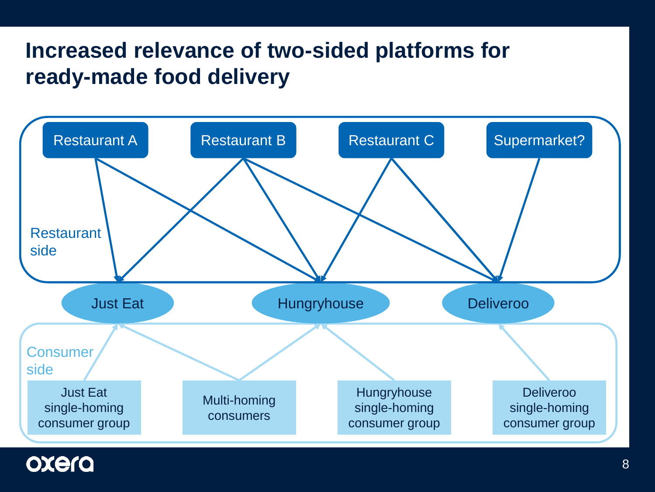# **Increased relevance of two-sided platforms for ready-made food delivery**



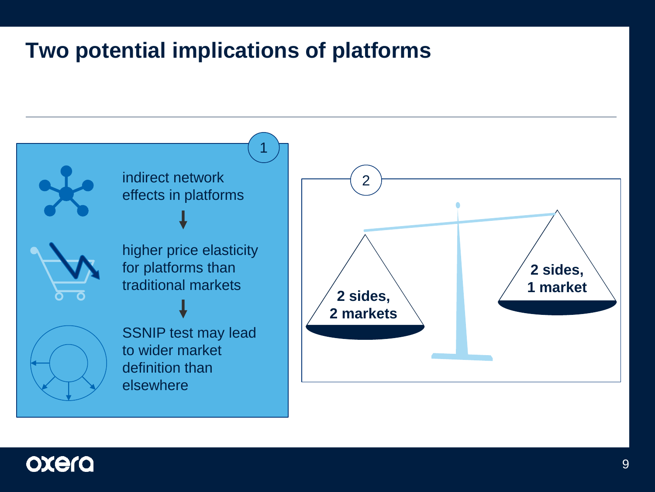### **Two potential implications of platforms**



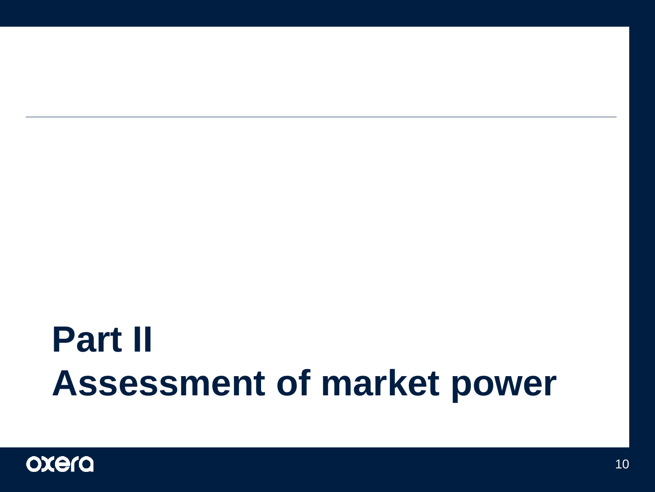# **Part II Assessment of market power**

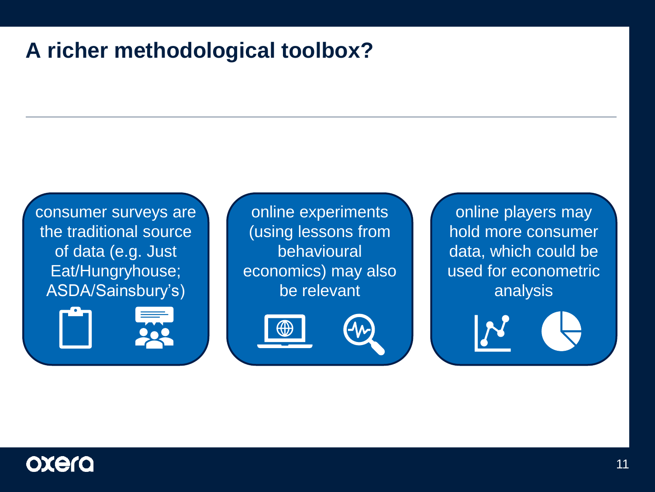# **A richer methodological toolbox?**

consumer surveys are the traditional source of data (e.g. Just Eat/Hungryhouse; ASDA/Sainsbury's)



online experiments (using lessons from behavioural economics) may also be relevant

⊕

online players may hold more consumer data, which could be used for econometric analysis

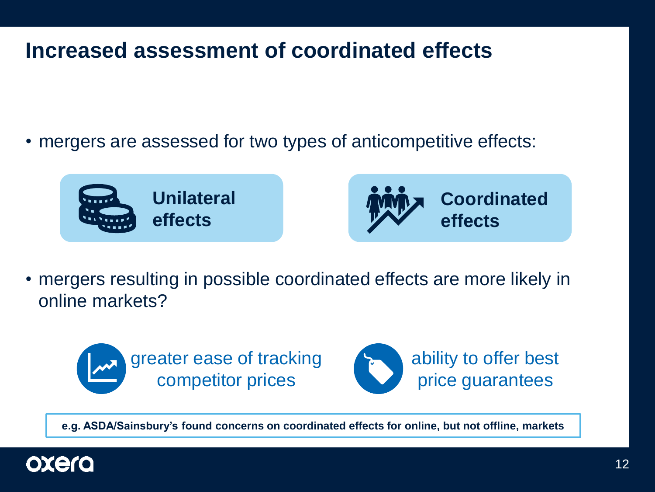### **Increased assessment of coordinated effects**

• mergers are assessed for two types of anticompetitive effects:



• mergers resulting in possible coordinated effects are more likely in online markets?





**e.g. ASDA/Sainsbury's found concerns on coordinated effects for online, but not offline, markets**

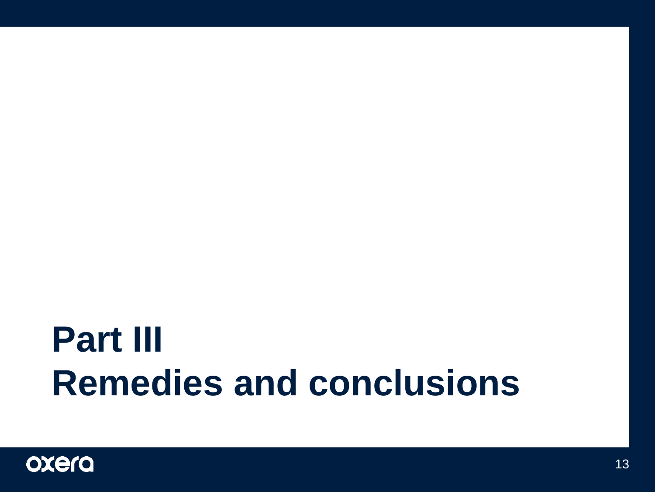# **Part III Remedies and conclusions**

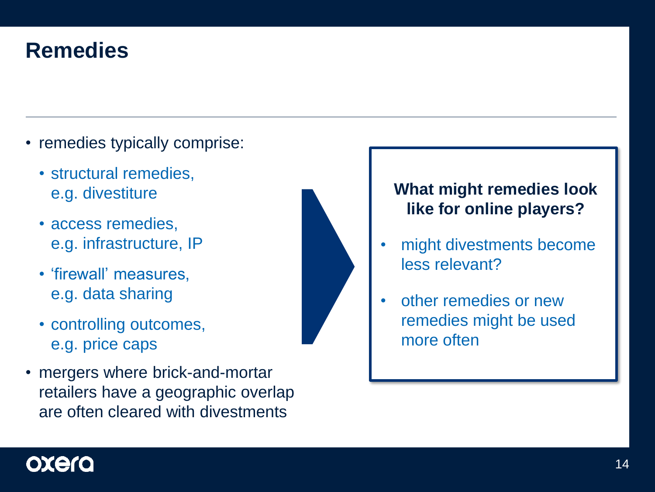### **Remedies**

- remedies typically comprise:
	- structural remedies, e.g. divestiture
	- access remedies, e.g. infrastructure, IP
	- 'firewall' measures, e.g. data sharing
	- controlling outcomes, e.g. price caps
- mergers where brick-and-mortar retailers have a geographic overlap are often cleared with divestments



#### **What might remedies look like for online players?**

- might divestments become less relevant?
- other remedies or new remedies might be used more often

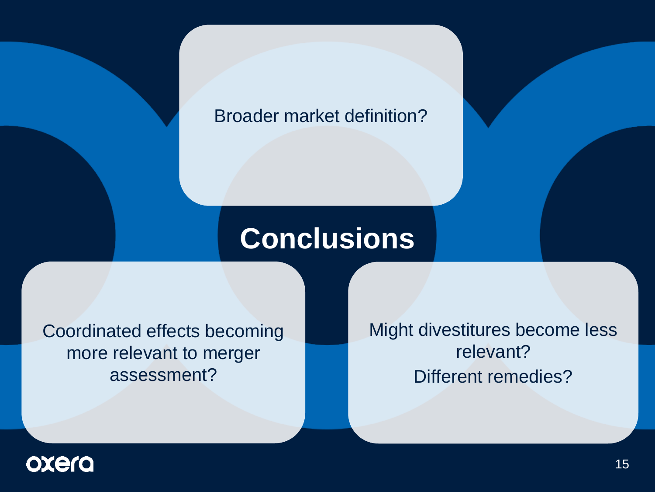#### Broader market definition?

# **Conclusions**

Coordinated effects becoming more relevant to merger assessment?

Might divestitures become less relevant? Different remedies?

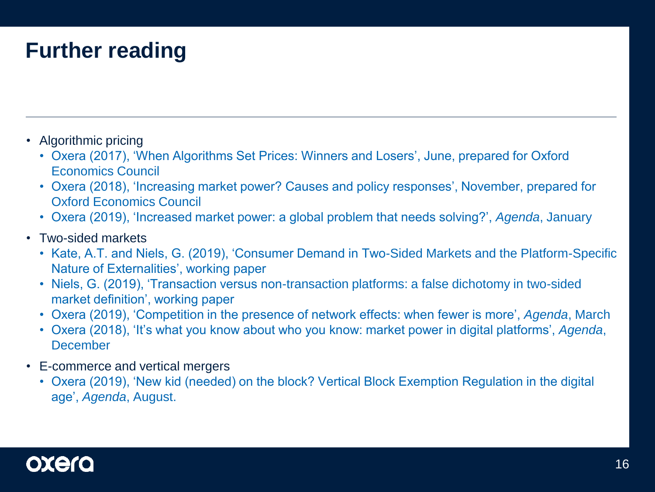# **Further reading**

- Algorithmic pricing
	- Oxera (2017), 'When Algorithms Set Prices: Winners and Losers', June, prepared for Oxford Economics Council
	- Oxera (2018), 'Increasing market power? Causes and policy responses', November, prepared for Oxford Economics Council
	- Oxera (2019), 'Increased market power: a global problem that needs solving?', *Agenda*, January
- Two-sided markets
	- Kate, A.T. and Niels, G. (2019), 'Consumer Demand in Two-Sided Markets and the Platform-Specific Nature of Externalities', working paper
	- Niels, G. (2019), 'Transaction versus non-transaction platforms: a false dichotomy in two-sided market definition', working paper
	- Oxera (2019), 'Competition in the presence of network effects: when fewer is more', *Agenda*, March
	- Oxera (2018), 'It's what you know about who you know: market power in digital platforms', *Agenda*, December
- E-commerce and vertical mergers
	- Oxera (2019), 'New kid (needed) on the block? Vertical Block Exemption Regulation in the digital age', *Agenda*, August.